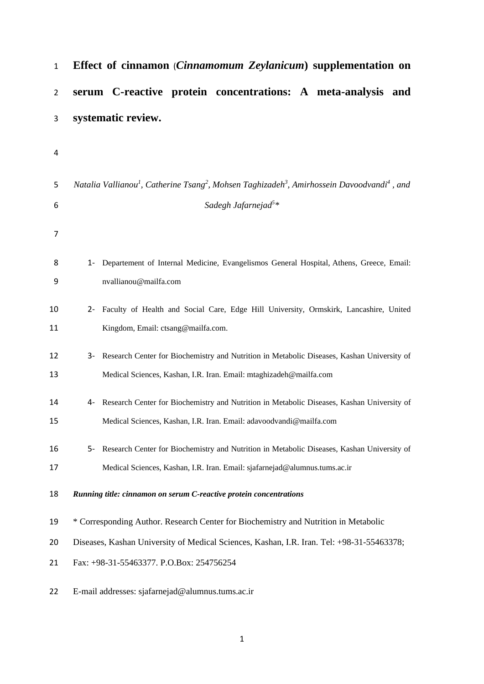| $\mathbf{1}$   | Effect of cinnamon (Cinnamomum Zeylanicum) supplementation on                                                                               |
|----------------|---------------------------------------------------------------------------------------------------------------------------------------------|
| $\overline{2}$ | C-reactive protein concentrations: A meta-analysis<br>and<br>serum                                                                          |
| 3              | systematic review.                                                                                                                          |
| 4              |                                                                                                                                             |
| 5              | Natalia Vallianou <sup>1</sup> , Catherine Tsang <sup>2</sup> , Mohsen Taghizadeh <sup>3</sup> , Amirhossein Davoodvandi <sup>4</sup> , and |
| 6              | Sadegh Jafarnejad <sup>5*</sup>                                                                                                             |
| 7              |                                                                                                                                             |
| 8<br>9         | 1- Departement of Internal Medicine, Evangelismos General Hospital, Athens, Greece, Email:<br>nvallianou@mailfa.com                         |
| 10             | 2- Faculty of Health and Social Care, Edge Hill University, Ormskirk, Lancashire, United                                                    |
| 11             | Kingdom, Email: ctsang@mailfa.com.                                                                                                          |
| 12             | 3- Research Center for Biochemistry and Nutrition in Metabolic Diseases, Kashan University of                                               |
| 13             | Medical Sciences, Kashan, I.R. Iran. Email: mtaghizadeh@mailfa.com                                                                          |
| 14             | 4- Research Center for Biochemistry and Nutrition in Metabolic Diseases, Kashan University of                                               |
| 15             | Medical Sciences, Kashan, I.R. Iran. Email: adavoodvandi@mailfa.com                                                                         |
| 16             | Research Center for Biochemistry and Nutrition in Metabolic Diseases, Kashan University of<br>5-                                            |
| 17             | Medical Sciences, Kashan, I.R. Iran. Email: sjafarnejad@alumnus.tums.ac.ir                                                                  |
| 18             | Running title: cinnamon on serum C-reactive protein concentrations                                                                          |
| 19             | * Corresponding Author. Research Center for Biochemistry and Nutrition in Metabolic                                                         |
| 20             | Diseases, Kashan University of Medical Sciences, Kashan, I.R. Iran. Tel: +98-31-55463378;                                                   |
| 21             | Fax: +98-31-55463377. P.O.Box: 254756254                                                                                                    |
| 22             | E-mail addresses: sjafarnejad@alumnus.tums.ac.ir                                                                                            |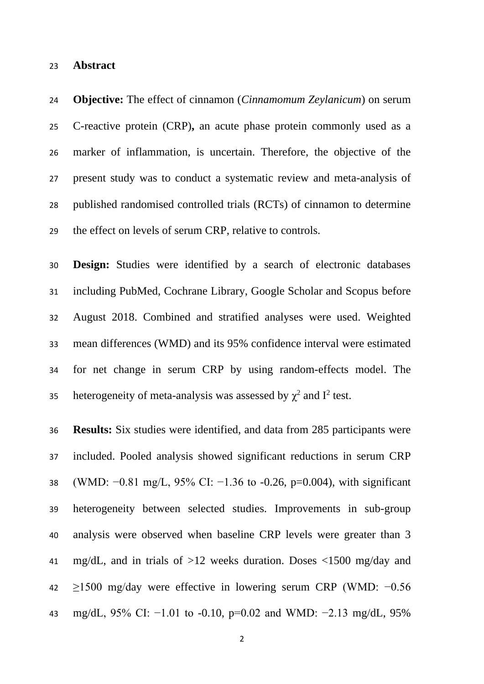#### **Abstract**

 **Objective:** The effect of cinnamon (*Cinnamomum Zeylanicum*) on serum C-reactive protein (CRP)**,** an acute phase protein commonly used as a marker of inflammation, is uncertain. Therefore, the objective of the present study was to conduct a systematic review and meta-analysis of published randomised controlled trials (RCTs) of cinnamon to determine the effect on levels of serum CRP, relative to controls.

 **Design:** Studies were identified by a search of electronic databases including PubMed, Cochrane Library, Google Scholar and Scopus before August 2018. Combined and stratified analyses were used. Weighted mean differences (WMD) and its 95% confidence interval were estimated for net change in serum CRP by using random-effects model. The 35 heterogeneity of meta-analysis was assessed by  $\chi^2$  and  $I^2$  test.

 **Results:** Six studies were identified, and data from 285 participants were included. Pooled analysis showed significant reductions in serum CRP (WMD: −0.81 mg/L, 95% CI: −1.36 to -0.26, p=0.004), with significant heterogeneity between selected studies. Improvements in sub-group analysis were observed when baseline CRP levels were greater than 3 mg/dL, and in trials of >12 weeks duration. Doses <1500 mg/day and ≥1500 mg/day were effective in lowering serum CRP (WMD: −0.56 mg/dL, 95% CI: −1.01 to -0.10, p=0.02 and WMD: −2.13 mg/dL, 95%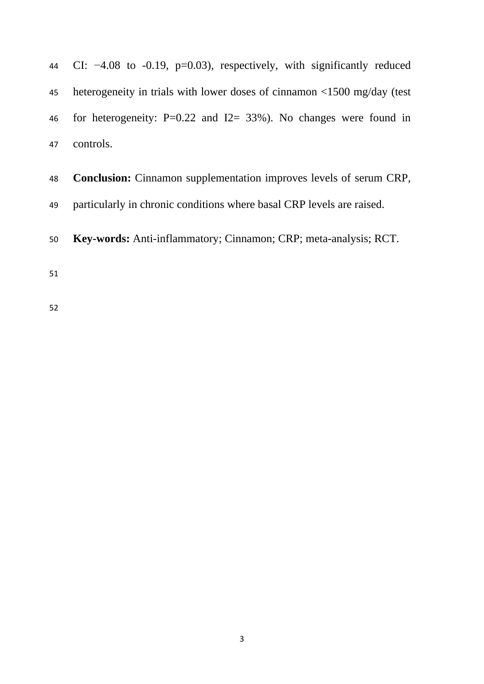|    | 44 CI: $-4.08$ to $-0.19$ , $p=0.03$ ), respectively, with significantly reduced         |
|----|------------------------------------------------------------------------------------------|
| 45 | heterogeneity in trials with lower doses of cinnamon $\langle 1500 \rangle$ mg/day (test |
| 46 | for heterogeneity: $P=0.22$ and $I2=33%$ ). No changes were found in                     |
| 47 | controls.                                                                                |
| 48 | <b>Conclusion:</b> Cinnamon supplementation improves levels of serum CRP,                |
| 49 | particularly in chronic conditions where basal CRP levels are raised.                    |
|    |                                                                                          |

**Key-words:** Anti-inflammatory; Cinnamon; CRP; meta-analysis; RCT.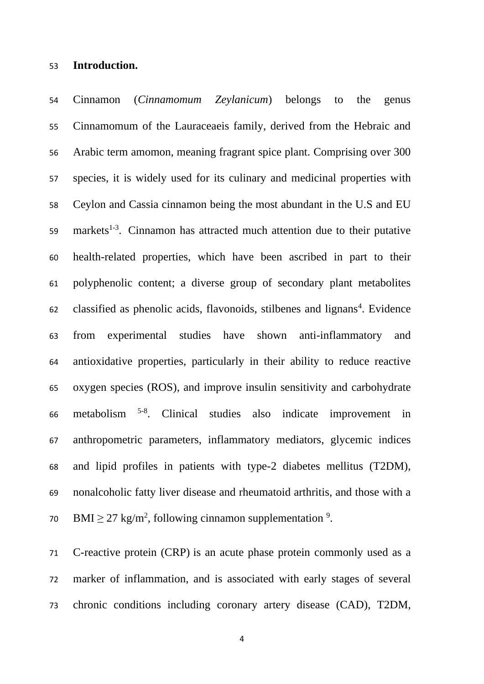#### **Introduction.**

 Cinnamon (*Cinnamomum Zeylanicum*) belongs to the genus Cinnamomum of the Lauraceaeis family, derived from the Hebraic and Arabic term amomon, meaning fragrant spice plant. Comprising over 300 species, it is widely used for its culinary and medicinal properties with Ceylon and Cassia cinnamon being the most abundant in the U.S and EU markets<sup>[1-3](#page-18-0)</sup>. Cinnamon has attracted much attention due to their putative health-related properties, which have been ascribed in part to their polyphenolic content; a diverse group of secondary plant metabolites 62 classified as phenolic acids, flavonoids, stilbenes and lignans<sup>[4](#page-18-1)</sup>. Evidence from experimental studies have shown anti-inflammatory and antioxidative properties, particularly in their ability to reduce reactive oxygen species (ROS), and improve insulin sensitivity and carbohydrate metabolism [5-8](#page-18-2) . Clinical studies also indicate improvement in anthropometric parameters, inflammatory mediators, glycemic indices and lipid profiles in patients with type-2 diabetes mellitus (T2DM), nonalcoholic fatty liver disease and rheumatoid arthritis, and those with a 70 BMI  $\geq$  27 kg/m<sup>2</sup>, following cinnamon supplementation <sup>[9](#page-18-3)</sup>.

 C-reactive protein (CRP) is an acute phase protein commonly used as a marker of inflammation, and is associated with early stages of several chronic conditions including coronary artery disease (CAD), T2DM,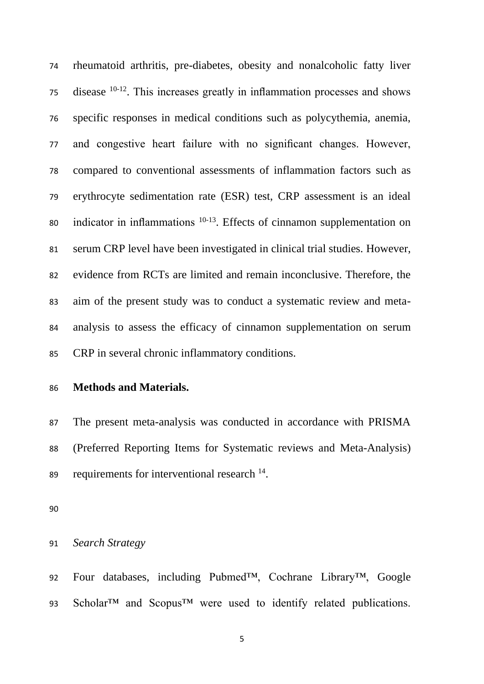rheumatoid arthritis, pre-diabetes, obesity and nonalcoholic fatty liver disease  $10-12$ . This increases greatly in inflammation processes and shows specific responses in medical conditions such as polycythemia, anemia, and congestive heart failure with no significant changes. However, compared to conventional assessments of inflammation factors such as erythrocyte sedimentation rate (ESR) test, CRP assessment is an ideal  $\delta$  indicator in inflammations  $\delta$ <sup>[10-13](#page-18-4)</sup>. Effects of cinnamon supplementation on serum CRP level have been investigated in clinical trial studies. However, evidence from RCTs are limited and remain inconclusive. Therefore, the aim of the present study was to conduct a systematic review and meta- analysis to assess the efficacy of cinnamon supplementation on serum CRP in several chronic inflammatory conditions.

**Methods and Materials.**

 The present meta-analysis was conducted in accordance with PRISMA (Preferred Reporting Items for Systematic reviews and Meta-Analysis) sequirements for interventional research .

*Search Strategy*

 Four databases, including Pubmed™, Cochrane Library™, Google 93 Scholar<sup>™</sup> and Scopus<sup>™</sup> were used to identify related publications.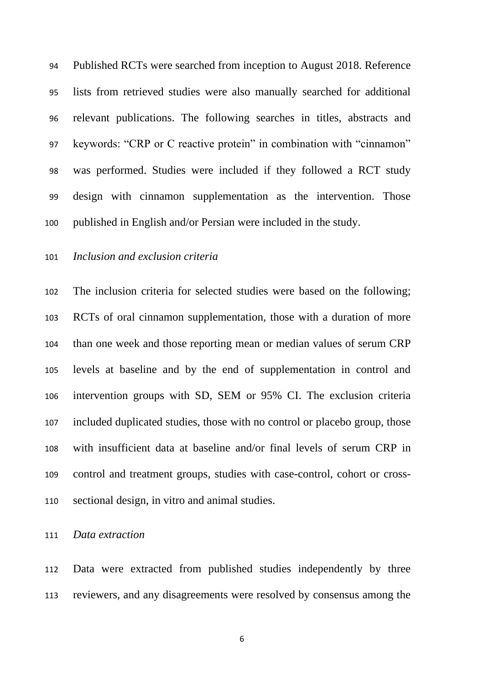Published RCTs were searched from inception to August 2018. Reference lists from retrieved studies were also manually searched for additional relevant publications. The following searches in titles, abstracts and keywords: "CRP or C reactive protein" in combination with "cinnamon" was performed. Studies were included if they followed a RCT study design with cinnamon supplementation as the intervention. Those published in English and/or Persian were included in the study.

*Inclusion and exclusion criteria*

 The inclusion criteria for selected studies were based on the following; RCTs of oral cinnamon supplementation, those with a duration of more than one week and those reporting mean or median values of serum CRP levels at baseline and by the end of supplementation in control and intervention groups with SD, SEM or 95% CI. The exclusion criteria included duplicated studies, those with no control or placebo group, those with insufficient data at baseline and/or final levels of serum CRP in control and treatment groups, studies with case-control, cohort or cross-sectional design, in vitro and animal studies.

*Data extraction*

 Data were extracted from published studies independently by three reviewers, and any disagreements were resolved by consensus among the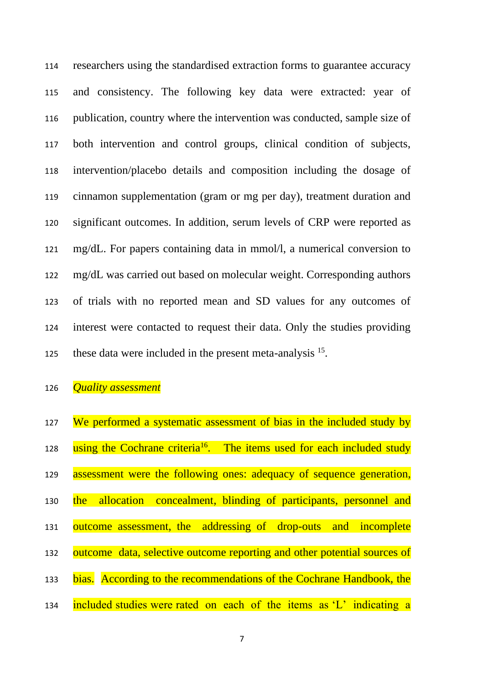researchers using the standardised extraction forms to guarantee accuracy and consistency. The following key data were extracted: year of publication, country where the intervention was conducted, sample size of both intervention and control groups, clinical condition of subjects, intervention/placebo details and composition including the dosage of cinnamon supplementation (gram or mg per day), treatment duration and significant outcomes. In addition, serum levels of CRP were reported as mg/dL. For papers containing data in mmol/l, a numerical conversion to mg/dL was carried out based on molecular weight. Corresponding authors of trials with no reported mean and SD values for any outcomes of interest were contacted to request their data. Only the studies providing these data were included in the present meta-analysis .

*Quality assessment*

| 127 | We performed a systematic assessment of bias in the included study by              |
|-----|------------------------------------------------------------------------------------|
| 128 | using the Cochrane criteria <sup>16</sup> . The items used for each included study |
| 129 | assessment were the following ones: adequacy of sequence generation,               |
| 130 | the allocation concealment, blinding of participants, personnel and                |
| 131 | outcome assessment, the addressing of drop-outs and incomplete                     |
| 132 | outcome data, selective outcome reporting and other potential sources of           |
| 133 | bias. According to the recommendations of the Cochrane Handbook, the               |
| 134 | included studies were rated on each of the items as 'L' indicating a               |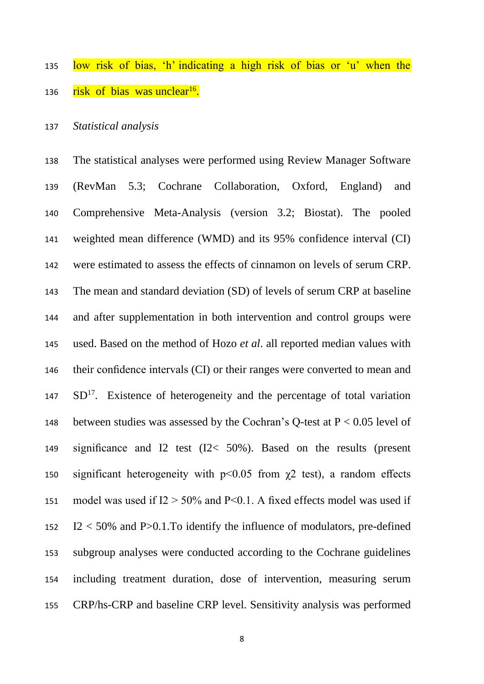# low risk of bias, 'h' indicating a high risk of bias or 'u' when the 136 risk of bias was unclear<sup>[16](#page-18-7)</sup>.

# *Statistical analysis*

 The statistical analyses were performed using Review Manager Software (RevMan 5.3; Cochrane Collaboration, Oxford, England) and Comprehensive Meta-Analysis (version 3.2; Biostat). The pooled weighted mean difference (WMD) and its 95% confidence interval (CI) were estimated to assess the effects of cinnamon on levels of serum CRP. The mean and standard deviation (SD) of levels of serum CRP at baseline and after supplementation in both intervention and control groups were used. Based on the method of Hozo *et al*. all reported median values with their confidence intervals (CI) or their ranges were converted to mean and  $SD<sup>17</sup>$  $SD<sup>17</sup>$  $SD<sup>17</sup>$ . Existence of heterogeneity and the percentage of total variation 148 between studies was assessed by the Cochran's Q-test at  $P < 0.05$  level of significance and I2 test (I2< 50%). Based on the results (present 150 significant heterogeneity with  $p<0.05$  from  $\chi$ 2 test), a random effects 151 model was used if  $I2 > 50\%$  and  $P< 0.1$ . A fixed effects model was used if I2 < 50% and P>0.1.To identify the influence of modulators, pre-defined subgroup analyses were conducted according to the Cochrane guidelines including treatment duration, dose of intervention, measuring serum CRP/hs-CRP and baseline CRP level. Sensitivity analysis was performed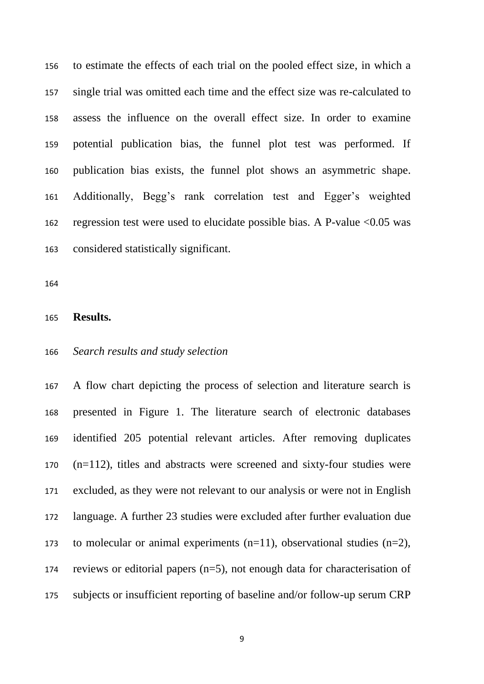to estimate the effects of each trial on the pooled effect size, in which a single trial was omitted each time and the effect size was re-calculated to assess the influence on the overall effect size. In order to examine potential publication bias, the funnel plot test was performed. If publication bias exists, the funnel plot shows an asymmetric shape. Additionally, Begg's rank correlation test and Egger's weighted regression test were used to elucidate possible bias. A P-value <0.05 was considered statistically significant.

**Results.**

# *Search results and study selection*

 A flow chart depicting the process of selection and literature search is presented in Figure 1. The literature search of electronic databases identified 205 potential relevant articles. After removing duplicates (n=112), titles and abstracts were screened and sixty-four studies were excluded, as they were not relevant to our analysis or were not in English language. A further 23 studies were excluded after further evaluation due 173 to molecular or animal experiments  $(n=11)$ , observational studies  $(n=2)$ , reviews or editorial papers (n=5), not enough data for characterisation of subjects or insufficient reporting of baseline and/or follow-up serum CRP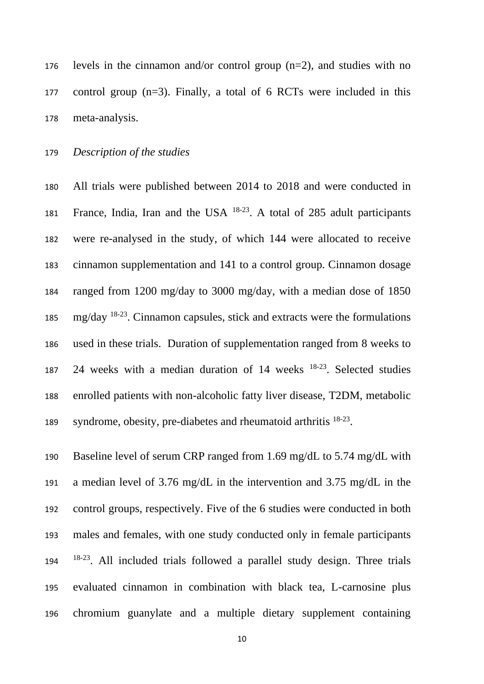levels in the cinnamon and/or control group (n=2), and studies with no control group (n=3). Finally, a total of 6 RCTs were included in this meta-analysis.

# *Description of the studies*

 All trials were published between 2014 to 2018 and were conducted in 181 France, India, Iran and the USA  $18-23$ . A total of 285 adult participants were re-analysed in the study, of which 144 were allocated to receive cinnamon supplementation and 141 to a control group. Cinnamon dosage ranged from 1200 mg/day to 3000 mg/day, with a median dose of 1850  $mg/day$  <sup>[18-23](#page-18-9)</sup>. Cinnamon capsules, stick and extracts were the formulations used in these trials. Duration of supplementation ranged from 8 weeks to 187 24 weeks with a median duration of weeks  $18-23$ . Selected studies enrolled patients with non-alcoholic fatty liver disease, T2DM, metabolic syndrome, obesity, pre-diabetes and rheumatoid arthritis  $18-23$ .

 Baseline level of serum CRP ranged from 1.69 mg/dL to 5.74 mg/dL with a median level of 3.76 mg/dL in the intervention and 3.75 mg/dL in the control groups, respectively. Five of the 6 studies were conducted in both males and females, with one study conducted only in female participants [18-23](#page-18-9) . All included trials followed a parallel study design. Three trials evaluated cinnamon in combination with black tea, L-carnosine plus chromium guanylate and a multiple dietary supplement containing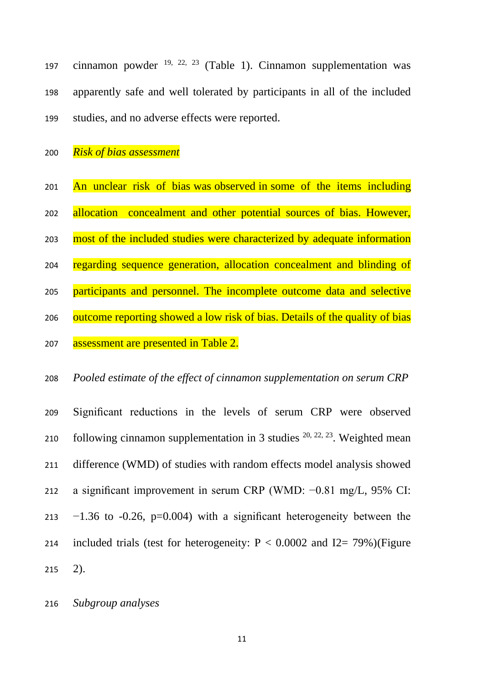197 cinnamon powder ,  $22$ ,  $23$  (Table 1). Cinnamon supplementation was apparently safe and well tolerated by participants in all of the included studies, and no adverse effects were reported.

*Risk of bias assessment*

 An unclear risk of bias was observed in some of the items including allocation concealment and other potential sources of bias. However, most of the included studies were characterized by adequate information regarding sequence generation, allocation concealment and blinding of 205 participants and personnel. The incomplete outcome data and selective 206 outcome reporting showed a low risk of bias. Details of the quality of bias 207 assessment are presented in Table 2.

*Pooled estimate of the effect of cinnamon supplementation on serum CRP* 

 Significant reductions in the levels of serum CRP were observed 210 following cinnamon supplementation in 3 studies  $20, 22, 23$  $20, 22, 23$  $20, 22, 23$ . Weighted mean difference (WMD) of studies with random effects model analysis showed a significant improvement in serum CRP (WMD: −0.81 mg/L, 95% CI: 213  $-1.36$  to  $-0.26$ , p=0.004) with a significant heterogeneity between the 214 included trials (test for heterogeneity:  $P < 0.0002$  and I2= 79%)(Figure 2).

*Subgroup analyses*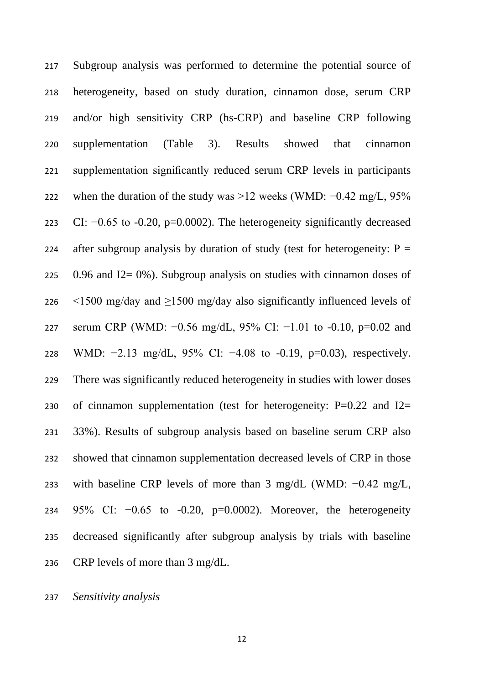Subgroup analysis was performed to determine the potential source of heterogeneity, based on study duration, cinnamon dose, serum CRP and/or high sensitivity CRP (hs-CRP) and baseline CRP following supplementation (Table 3). Results showed that cinnamon supplementation significantly reduced serum CRP levels in participants when the duration of the study was >12 weeks (WMD: −0.42 mg/L, 95% CI: −0.65 to -0.20, p=0.0002). The heterogeneity significantly decreased 224 after subgroup analysis by duration of study (test for heterogeneity:  $P =$ 225 0.96 and I2= 0%). Subgroup analysis on studies with cinnamon doses of <1500 mg/day and ≥1500 mg/day also significantly influenced levels of 227 serum CRP (WMD: −0.56 mg/dL, 95% CI: −1.01 to -0.10, p=0.02 and 228 WMD: −2.13 mg/dL, 95% CI: −4.08 to -0.19, p=0.03), respectively. There was significantly reduced heterogeneity in studies with lower doses 230 of cinnamon supplementation (test for heterogeneity:  $P=0.22$  and  $I2=$  33%). Results of subgroup analysis based on baseline serum CRP also showed that cinnamon supplementation decreased levels of CRP in those with baseline CRP levels of more than 3 mg/dL (WMD: −0.42 mg/L, 95% CI: −0.65 to -0.20, p=0.0002). Moreover, the heterogeneity decreased significantly after subgroup analysis by trials with baseline CRP levels of more than 3 mg/dL.

*Sensitivity analysis*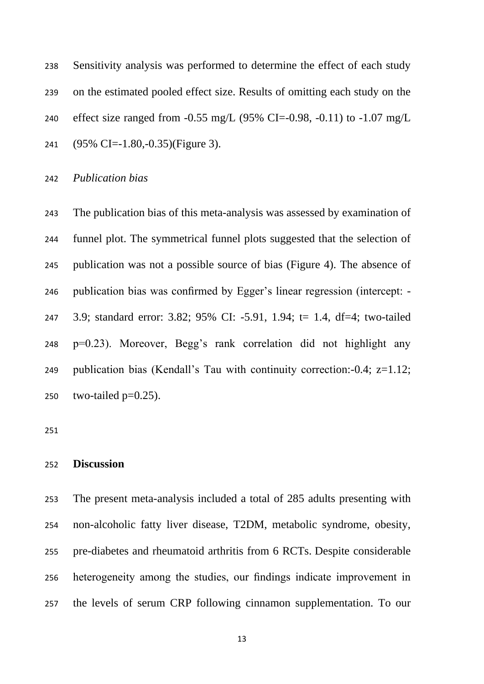Sensitivity analysis was performed to determine the effect of each study on the estimated pooled effect size. Results of omitting each study on the 240 effect size ranged from  $-0.55$  mg/L (95% CI= $-0.98$ ,  $-0.11$ ) to  $-1.07$  mg/L (95% CI=-1.80,-0.35)(Figure 3).

# *Publication bias*

 The publication bias of this meta-analysis was assessed by examination of funnel plot. The symmetrical funnel plots suggested that the selection of publication was not a possible source of bias (Figure 4). The absence of publication bias was confirmed by Egger's linear regression (intercept: - 3.9; standard error: 3.82; 95% CI: -5.91, 1.94; t= 1.4, df=4; two-tailed p=0.23). Moreover, Begg's rank correlation did not highlight any publication bias (Kendall's Tau with continuity correction:-0.4; z=1.12; 250 two-tailed  $p=0.25$ ).

# **Discussion**

 The present meta-analysis included a total of 285 adults presenting with non-alcoholic fatty liver disease, T2DM, metabolic syndrome, obesity, pre-diabetes and rheumatoid arthritis from 6 RCTs. Despite considerable heterogeneity among the studies, our findings indicate improvement in the levels of serum CRP following cinnamon supplementation. To our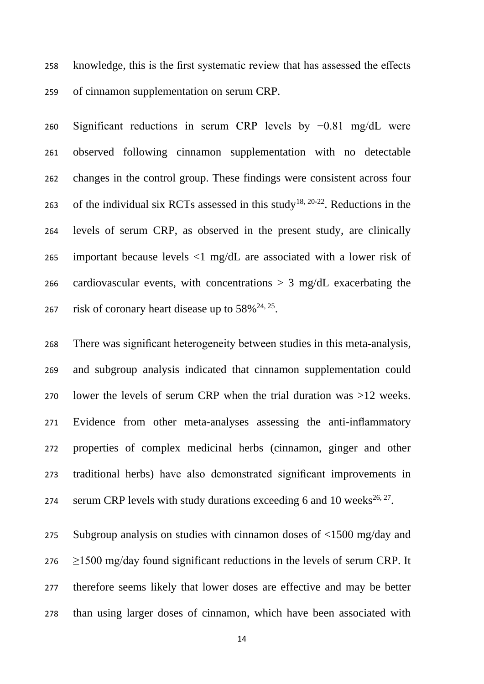knowledge, this is the first systematic review that has assessed the effects of cinnamon supplementation on serum CRP.

 Significant reductions in serum CRP levels by −0.81 mg/dL were observed following cinnamon supplementation with no detectable changes in the control group. These findings were consistent across four 263 of the individual six RCTs assessed in this study<sup>[18,](#page-18-9) [20-22](#page-19-3)</sup>. Reductions in the levels of serum CRP, as observed in the present study, are clinically important because levels <1 mg/dL are associated with a lower risk of cardiovascular events, with concentrations > 3 mg/dL exacerbating the 267 risk of coronary heart disease up to  $58\%^{24,25}$  $58\%^{24,25}$  $58\%^{24,25}$ .

 There was significant heterogeneity between studies in this meta-analysis, and subgroup analysis indicated that cinnamon supplementation could lower the levels of serum CRP when the trial duration was >12 weeks. Evidence from other meta-analyses assessing the anti-inflammatory properties of complex medicinal herbs (cinnamon, ginger and other traditional herbs) have also demonstrated significant improvements in serum CRP levels with study durations exceeding 6 and 10 weeks $^{26, 27}$  $^{26, 27}$  $^{26, 27}$  $^{26, 27}$ .

 Subgroup analysis on studies with cinnamon doses of <1500 mg/day and  $276 \ge 1500$  mg/day found significant reductions in the levels of serum CRP. It therefore seems likely that lower doses are effective and may be better than using larger doses of cinnamon, which have been associated with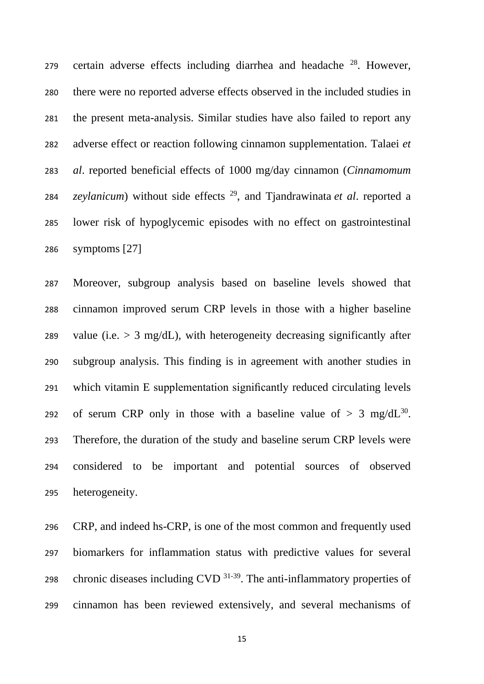certain adverse effects including diarrhea and headache  $28$ . However, there were no reported adverse effects observed in the included studies in the present meta-analysis. Similar studies have also failed to report any adverse effect or reaction following cinnamon supplementation. [Talaei](https://www.ncbi.nlm.nih.gov/pubmed/?term=Wiweko%20B%5BAuthor%5D&cauthor=true&cauthor_uid=28479753) *et al*. reported beneficial effects of 1000 mg/day cinnamon (*Cinnamomum zeylanicum*) without side effects <sup>[29](#page-19-9)</sup>, and Tjandrawinata *et al.* reported a lower risk of hypoglycemic episodes with no effect on gastrointestinal symptoms [27]

 Moreover, subgroup analysis based on baseline levels showed that cinnamon improved serum CRP levels in those with a higher baseline 289 value (i.e.  $> 3 \text{ mg/dL}$ ), with heterogeneity decreasing significantly after subgroup analysis. This finding is in agreement with another studies in which vitamin E supplementation significantly reduced circulating levels 292 of serum CRP only in those with a baseline value of  $> 3$  mg/dL<sup>[30](#page-19-10)</sup>. Therefore, the duration of the study and baseline serum CRP levels were considered to be important and potential sources of observed heterogeneity.

 CRP, and indeed hs-CRP, is one of the most common and frequently used biomarkers for inflammation status with predictive values for several 298 chronic diseases including  $CVD$ <sup>[31-39](#page-19-11)</sup>. The anti-inflammatory properties of cinnamon has been reviewed extensively, and several mechanisms of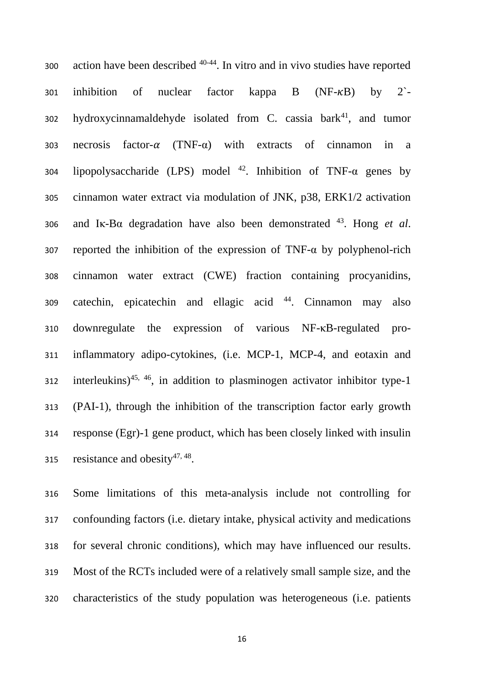action have been described  $40-44$ . In vitro and in vivo studies have reported 301 inhibition of nuclear factor kappa B  $(NF-KB)$  by 2<sup>-</sup> hydroxycinnamaldehyde isolated from C. cassia bark<sup>[41](#page-20-1)</sup>, and tumor 303 necrosis factor- $\alpha$  (TNF- $\alpha$ ) with extracts of cinnamon in a 304 lipopolysaccharide (LPS) model <sup>[42](#page-20-2)</sup>. Inhibition of TNF-α genes by cinnamon water extract via modulation of JNK, p38, ERK1/2 activation and Iκ-Bα degradation have also been demonstrated  $^{43}$  $^{43}$  $^{43}$ . Hong *et al.* 307 reported the inhibition of the expression of TNF- $\alpha$  by polyphenol-rich cinnamon water extract (CWE) fraction containing procyanidins, catechin, epicatechin and ellagic acid  $44$ . Cinnamon may also downregulate the expression of various NF-κB-regulated pro- inflammatory adipo-cytokines, (i.e. MCP-1, MCP-4, and eotaxin and 312 interleukins)<sup>[45,](#page-20-5) [46](#page-20-6)</sup>, in addition to plasminogen activator inhibitor type-1 (PAI-1), through the inhibition of the transcription factor early growth response (Egr)-1 gene product, which has been closely linked with insulin 315 resistance and obesity  $47,48$  $47,48$ .

 Some limitations of this meta-analysis include not controlling for confounding factors (i.e. dietary intake, physical activity and medications for several chronic conditions), which may have influenced our results. Most of the RCTs included were of a relatively small sample size, and the characteristics of the study population was heterogeneous (i.e. patients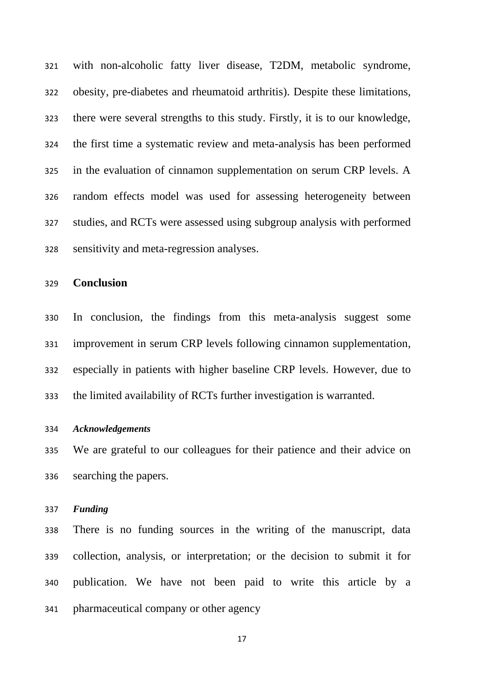with non-alcoholic fatty liver disease, T2DM, metabolic syndrome, obesity, pre-diabetes and rheumatoid arthritis). Despite these limitations, there were several strengths to this study. Firstly, it is to our knowledge, the first time a systematic review and meta-analysis has been performed in the evaluation of cinnamon supplementation on serum CRP levels. A random effects model was used for assessing heterogeneity between studies, and RCTs were assessed using subgroup analysis with performed sensitivity and meta-regression analyses.

**Conclusion**

 In conclusion, the findings from this meta-analysis suggest some improvement in serum CRP levels following cinnamon supplementation, especially in patients with higher baseline CRP levels. However, due to the limited availability of RCTs further investigation is warranted.

#### *Acknowledgements*

 We are grateful to our colleagues for their patience and their advice on searching the papers.

#### *Funding*

 There is no funding sources in the writing of the manuscript, data collection, analysis, or interpretation; or the decision to submit it for publication. We have not been paid to write this article by a pharmaceutical company or other agency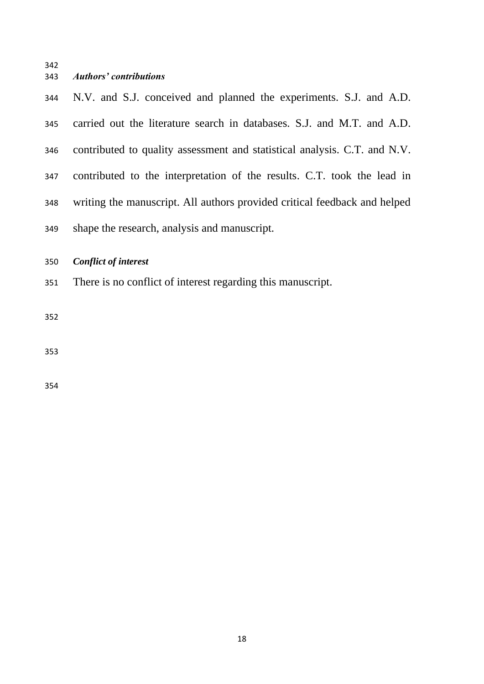# *Authors' contributions*

 N.V. and S.J. conceived and planned the experiments. S.J. and A.D. carried out the literature search in databases. S.J. and M.T. and A.D. contributed to quality assessment and statistical analysis. C.T. and N.V. contributed to the interpretation of the results. C.T. took the lead in writing the manuscript. All authors provided critical feedback and helped shape the research, analysis and manuscript.

# *Conflict of interest*

There is no conflict of interest regarding this manuscript.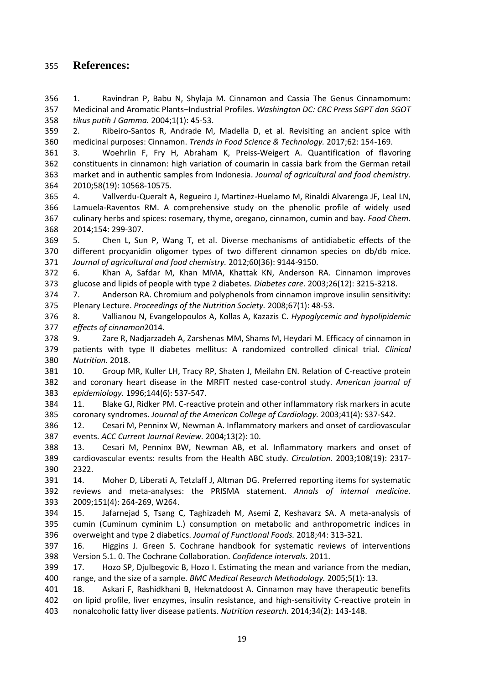# **References:**

<span id="page-18-0"></span> 1. Ravindran P, Babu N, Shylaja M. Cinnamon and Cassia The Genus Cinnamomum: Medicinal and Aromatic Plants–Industrial Profiles. *Washington DC: CRC Press SGPT dan SGOT tikus putih J Gamma.* 2004;1(1): 45-53.

 2. Ribeiro-Santos R, Andrade M, Madella D, et al. Revisiting an ancient spice with medicinal purposes: Cinnamon. *Trends in Food Science & Technology.* 2017;62: 154-169.

 3. Woehrlin F, Fry H, Abraham K, Preiss-Weigert A. Quantification of flavoring constituents in cinnamon: high variation of coumarin in cassia bark from the German retail market and in authentic samples from Indonesia. *Journal of agricultural and food chemistry.* 2010;58(19): 10568-10575.

<span id="page-18-1"></span> 4. Vallverdu-Queralt A, Regueiro J, Martinez-Huelamo M, Rinaldi Alvarenga JF, Leal LN, Lamuela-Raventos RM. A comprehensive study on the phenolic profile of widely used culinary herbs and spices: rosemary, thyme, oregano, cinnamon, cumin and bay. *Food Chem.* 2014;154: 299-307.

<span id="page-18-2"></span> 5. Chen L, Sun P, Wang T, et al. Diverse mechanisms of antidiabetic effects of the different procyanidin oligomer types of two different cinnamon species on db/db mice. *Journal of agricultural and food chemistry.* 2012;60(36): 9144-9150.

 6. Khan A, Safdar M, Khan MMA, Khattak KN, Anderson RA. Cinnamon improves glucose and lipids of people with type 2 diabetes. *Diabetes care.* 2003;26(12): 3215-3218.

 7. Anderson RA. Chromium and polyphenols from cinnamon improve insulin sensitivity: Plenary Lecture. *Proceedings of the Nutrition Society.* 2008;67(1): 48-53.

 8. Vallianou N, Evangelopoulos A, Kollas A, Kazazis C. *Hypoglycemic and hypolipidemic effects of cinnamon*2014.

<span id="page-18-3"></span> 9. Zare R, Nadjarzadeh A, Zarshenas MM, Shams M, Heydari M. Efficacy of cinnamon in patients with type II diabetes mellitus: A randomized controlled clinical trial. *Clinical Nutrition.* 2018.

<span id="page-18-4"></span> 10. Group MR, Kuller LH, Tracy RP, Shaten J, Meilahn EN. Relation of C-reactive protein and coronary heart disease in the MRFIT nested case-control study. *American journal of epidemiology.* 1996;144(6): 537-547.

 11. Blake GJ, Ridker PM. C-reactive protein and other inflammatory risk markers in acute coronary syndromes. *Journal of the American College of Cardiology.* 2003;41(4): S37-S42.

 12. Cesari M, Penninx W, Newman A. Inflammatory markers and onset of cardiovascular events. *ACC Current Journal Review.* 2004;13(2): 10.

 13. Cesari M, Penninx BW, Newman AB, et al. Inflammatory markers and onset of cardiovascular events: results from the Health ABC study. *Circulation.* 2003;108(19): 2317- 2322.

<span id="page-18-5"></span> 14. Moher D, Liberati A, Tetzlaff J, Altman DG. Preferred reporting items for systematic reviews and meta-analyses: the PRISMA statement. *Annals of internal medicine.* 2009;151(4): 264-269, W264.

<span id="page-18-6"></span> 15. Jafarnejad S, Tsang C, Taghizadeh M, Asemi Z, Keshavarz SA. A meta-analysis of cumin (Cuminum cyminim L.) consumption on metabolic and anthropometric indices in overweight and type 2 diabetics. *Journal of Functional Foods.* 2018;44: 313-321.

<span id="page-18-7"></span> 16. Higgins J. Green S. Cochrane handbook for systematic reviews of interventions Version 5.1. 0. The Cochrane Collaboration. *Confidence intervals.* 2011.

<span id="page-18-8"></span> 17. Hozo SP, Djulbegovic B, Hozo I. Estimating the mean and variance from the median, range, and the size of a sample. *BMC Medical Research Methodology.* 2005;5(1): 13.

<span id="page-18-9"></span> 18. Askari F, Rashidkhani B, Hekmatdoost A. Cinnamon may have therapeutic benefits on lipid profile, liver enzymes, insulin resistance, and high-sensitivity C-reactive protein in nonalcoholic fatty liver disease patients. *Nutrition research.* 2014;34(2): 143-148.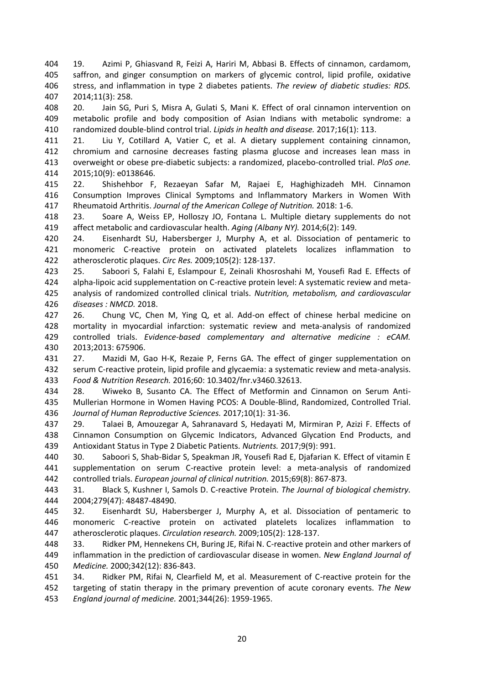<span id="page-19-0"></span> 19. Azimi P, Ghiasvand R, Feizi A, Hariri M, Abbasi B. Effects of cinnamon, cardamom, saffron, and ginger consumption on markers of glycemic control, lipid profile, oxidative stress, and inflammation in type 2 diabetes patients. *The review of diabetic studies: RDS.* 2014;11(3): 258.

<span id="page-19-3"></span> 20. Jain SG, Puri S, Misra A, Gulati S, Mani K. Effect of oral cinnamon intervention on metabolic profile and body composition of Asian Indians with metabolic syndrome: a randomized double-blind control trial. *Lipids in health and disease.* 2017;16(1): 113.

 21. Liu Y, Cotillard A, Vatier C, et al. A dietary supplement containing cinnamon, chromium and carnosine decreases fasting plasma glucose and increases lean mass in overweight or obese pre-diabetic subjects: a randomized, placebo-controlled trial. *PloS one.* 2015;10(9): e0138646.

<span id="page-19-1"></span> 22. Shishehbor F, Rezaeyan Safar M, Rajaei E, Haghighizadeh MH. Cinnamon Consumption Improves Clinical Symptoms and Inflammatory Markers in Women With Rheumatoid Arthritis. *Journal of the American College of Nutrition.* 2018: 1-6.

<span id="page-19-2"></span> 23. Soare A, Weiss EP, Holloszy JO, Fontana L. Multiple dietary supplements do not affect metabolic and cardiovascular health. *Aging (Albany NY).* 2014;6(2): 149.

<span id="page-19-4"></span> 24. Eisenhardt SU, Habersberger J, Murphy A, et al. Dissociation of pentameric to monomeric C-reactive protein on activated platelets localizes inflammation to atherosclerotic plaques. *Circ Res.* 2009;105(2): 128-137.

<span id="page-19-5"></span> 25. Saboori S, Falahi E, Eslampour E, Zeinali Khosroshahi M, Yousefi Rad E. Effects of alpha-lipoic acid supplementation on C-reactive protein level: A systematic review and meta- analysis of randomized controlled clinical trials. *Nutrition, metabolism, and cardiovascular diseases : NMCD.* 2018.

<span id="page-19-6"></span> 26. Chung VC, Chen M, Ying Q, et al. Add-on effect of chinese herbal medicine on mortality in myocardial infarction: systematic review and meta-analysis of randomized controlled trials. *Evidence-based complementary and alternative medicine : eCAM.* 2013;2013: 675906.

<span id="page-19-7"></span> 27. Mazidi M, Gao H-K, Rezaie P, Ferns GA. The effect of ginger supplementation on serum C-reactive protein, lipid profile and glycaemia: a systematic review and meta-analysis. *Food & Nutrition Research.* 2016;60: 10.3402/fnr.v3460.32613.

<span id="page-19-8"></span> 28. Wiweko B, Susanto CA. The Effect of Metformin and Cinnamon on Serum Anti- Mullerian Hormone in Women Having PCOS: A Double-Blind, Randomized, Controlled Trial. *Journal of Human Reproductive Sciences.* 2017;10(1): 31-36.

<span id="page-19-9"></span> 29. Talaei B, Amouzegar A, Sahranavard S, Hedayati M, Mirmiran P, Azizi F. Effects of Cinnamon Consumption on Glycemic Indicators, Advanced Glycation End Products, and Antioxidant Status in Type 2 Diabetic Patients. *Nutrients.* 2017;9(9): 991.

<span id="page-19-10"></span> 30. Saboori S, Shab-Bidar S, Speakman JR, Yousefi Rad E, Djafarian K. Effect of vitamin E supplementation on serum C-reactive protein level: a meta-analysis of randomized controlled trials. *European journal of clinical nutrition.* 2015;69(8): 867-873.

<span id="page-19-11"></span> 31. Black S, Kushner I, Samols D. C-reactive Protein. *The Journal of biological chemistry.* 2004;279(47): 48487-48490.

 32. Eisenhardt SU, Habersberger J, Murphy A, et al. Dissociation of pentameric to monomeric C-reactive protein on activated platelets localizes inflammation to atherosclerotic plaques. *Circulation research.* 2009;105(2): 128-137.

 33. Ridker PM, Hennekens CH, Buring JE, Rifai N. C-reactive protein and other markers of inflammation in the prediction of cardiovascular disease in women. *New England Journal of Medicine.* 2000;342(12): 836-843.

 34. Ridker PM, Rifai N, Clearfield M, et al. Measurement of C-reactive protein for the targeting of statin therapy in the primary prevention of acute coronary events. *The New England journal of medicine.* 2001;344(26): 1959-1965.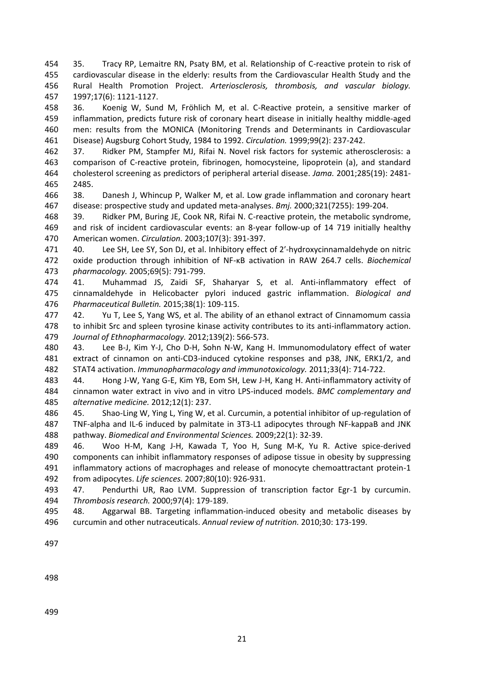35. Tracy RP, Lemaitre RN, Psaty BM, et al. Relationship of C-reactive protein to risk of cardiovascular disease in the elderly: results from the Cardiovascular Health Study and the Rural Health Promotion Project. *Arteriosclerosis, thrombosis, and vascular biology.* 1997;17(6): 1121-1127.

 36. Koenig W, Sund M, Fröhlich M, et al. C-Reactive protein, a sensitive marker of inflammation, predicts future risk of coronary heart disease in initially healthy middle-aged men: results from the MONICA (Monitoring Trends and Determinants in Cardiovascular Disease) Augsburg Cohort Study, 1984 to 1992. *Circulation.* 1999;99(2): 237-242.

 37. Ridker PM, Stampfer MJ, Rifai N. Novel risk factors for systemic atherosclerosis: a comparison of C-reactive protein, fibrinogen, homocysteine, lipoprotein (a), and standard cholesterol screening as predictors of peripheral arterial disease. *Jama.* 2001;285(19): 2481- 2485.

 38. Danesh J, Whincup P, Walker M, et al. Low grade inflammation and coronary heart disease: prospective study and updated meta-analyses. *Bmj.* 2000;321(7255): 199-204.

 39. Ridker PM, Buring JE, Cook NR, Rifai N. C-reactive protein, the metabolic syndrome, and risk of incident cardiovascular events: an 8-year follow-up of 14 719 initially healthy American women. *Circulation.* 2003;107(3): 391-397.

<span id="page-20-0"></span>471 40. Lee SH, Lee SY, Son DJ, et al. Inhibitory effect of 2'-hydroxycinnamaldehyde on nitric oxide production through inhibition of NF-κB activation in RAW 264.7 cells. *Biochemical pharmacology.* 2005;69(5): 791-799.

<span id="page-20-1"></span> 41. Muhammad JS, Zaidi SF, Shaharyar S, et al. Anti-inflammatory effect of cinnamaldehyde in Helicobacter pylori induced gastric inflammation. *Biological and Pharmaceutical Bulletin.* 2015;38(1): 109-115.

<span id="page-20-2"></span> 42. Yu T, Lee S, Yang WS, et al. The ability of an ethanol extract of Cinnamomum cassia to inhibit Src and spleen tyrosine kinase activity contributes to its anti-inflammatory action. *Journal of Ethnopharmacology.* 2012;139(2): 566-573.

<span id="page-20-3"></span> 43. Lee B-J, Kim Y-J, Cho D-H, Sohn N-W, Kang H. Immunomodulatory effect of water extract of cinnamon on anti-CD3-induced cytokine responses and p38, JNK, ERK1/2, and STAT4 activation. *Immunopharmacology and immunotoxicology.* 2011;33(4): 714-722.

<span id="page-20-4"></span> 44. Hong J-W, Yang G-E, Kim YB, Eom SH, Lew J-H, Kang H. Anti-inflammatory activity of cinnamon water extract in vivo and in vitro LPS-induced models. *BMC complementary and alternative medicine.* 2012;12(1): 237.

<span id="page-20-5"></span> 45. Shao-Ling W, Ying L, Ying W, et al. Curcumin, a potential inhibitor of up-regulation of TNF-alpha and IL-6 induced by palmitate in 3T3-L1 adipocytes through NF-kappaB and JNK pathway. *Biomedical and Environmental Sciences.* 2009;22(1): 32-39.

<span id="page-20-6"></span> 46. Woo H-M, Kang J-H, Kawada T, Yoo H, Sung M-K, Yu R. Active spice-derived components can inhibit inflammatory responses of adipose tissue in obesity by suppressing inflammatory actions of macrophages and release of monocyte chemoattractant protein-1 from adipocytes. *Life sciences.* 2007;80(10): 926-931.

<span id="page-20-7"></span> 47. Pendurthi UR, Rao LVM. Suppression of transcription factor Egr-1 by curcumin. *Thrombosis research.* 2000;97(4): 179-189.

<span id="page-20-8"></span> 48. Aggarwal BB. Targeting inflammation-induced obesity and metabolic diseases by curcumin and other nutraceuticals. *Annual review of nutrition.* 2010;30: 173-199.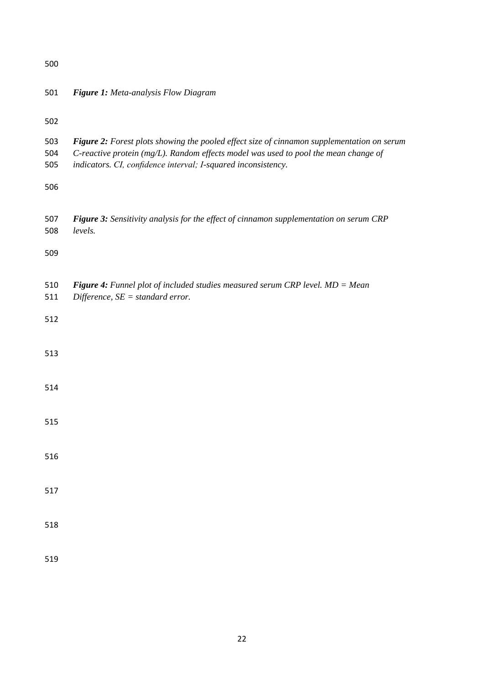| 500               |                                                                                                                                                                                                                                                    |
|-------------------|----------------------------------------------------------------------------------------------------------------------------------------------------------------------------------------------------------------------------------------------------|
| 501               | Figure 1: Meta-analysis Flow Diagram                                                                                                                                                                                                               |
| 502               |                                                                                                                                                                                                                                                    |
| 503<br>504<br>505 | Figure 2: Forest plots showing the pooled effect size of cinnamon supplementation on serum<br>C-reactive protein (mg/L). Random effects model was used to pool the mean change of<br>indicators. CI, confidence interval; I-squared inconsistency. |
| 506               |                                                                                                                                                                                                                                                    |
| 507<br>508        | <b>Figure 3:</b> Sensitivity analysis for the effect of cinnamon supplementation on serum CRP<br>levels.                                                                                                                                           |
| 509               |                                                                                                                                                                                                                                                    |
| 510<br>511        | <b>Figure 4:</b> Funnel plot of included studies measured serum CRP level. $MD = Mean$<br>Difference, $SE = standard error$ .                                                                                                                      |
| 512               |                                                                                                                                                                                                                                                    |
| 513               |                                                                                                                                                                                                                                                    |
| 514               |                                                                                                                                                                                                                                                    |
| 515               |                                                                                                                                                                                                                                                    |
| 516               |                                                                                                                                                                                                                                                    |
| 517               |                                                                                                                                                                                                                                                    |
| 518               |                                                                                                                                                                                                                                                    |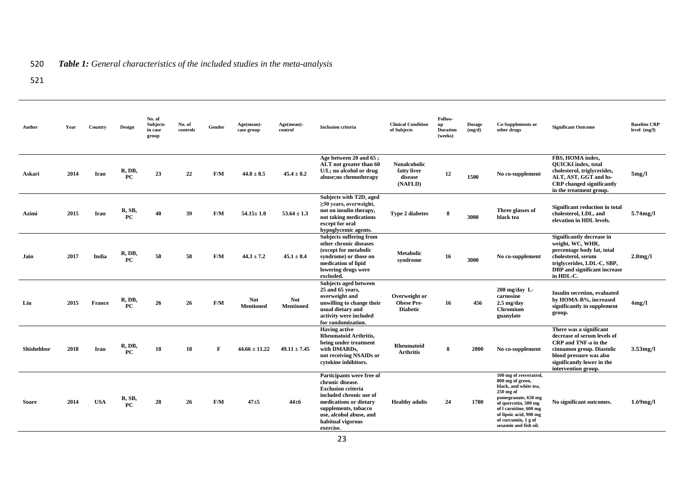# 520 *Table 1: General characteristics of the included studies in the meta-analysis*

521

| Auther            | Year | Country       | Design              | No. of<br><b>Subjects</b><br>in case<br>group | No. of<br>controls | Gender | Age(mean)-<br>case group | Age(mean)-<br>control          | <b>Inclusion criteria</b>                                                                                                                                                                                            | <b>Clinical Condition</b><br>of Subjects                 | Follow-<br>up<br><b>Duration</b><br>(weeks) | <b>Dosage</b><br>(mg/d) | Co-Supplements or<br>other drugs                                                                                                                                                                                                      | <b>Significant Outcome</b>                                                                                                                                                                                 | <b>Baseline CRP</b><br>level (mg/l) |
|-------------------|------|---------------|---------------------|-----------------------------------------------|--------------------|--------|--------------------------|--------------------------------|----------------------------------------------------------------------------------------------------------------------------------------------------------------------------------------------------------------------|----------------------------------------------------------|---------------------------------------------|-------------------------|---------------------------------------------------------------------------------------------------------------------------------------------------------------------------------------------------------------------------------------|------------------------------------------------------------------------------------------------------------------------------------------------------------------------------------------------------------|-------------------------------------|
| Askari            | 2014 | Iran          | R, DB,<br>PC        | 23                                            | 22                 | F/M    | $44.8 \pm 8.5$           | $45.4 \pm 8.2$                 | Age between 20 and 65;<br>ALT not greater than 60<br>U/L; no alcohol or drug<br>abuse;no chemotherapy                                                                                                                | <b>Nonalcoholic</b><br>fatty liver<br>disease<br>(NAFLD) | 12                                          | 1500                    | No co-supplement                                                                                                                                                                                                                      | FBS. HOMA index.<br><b>OUICKI</b> index, total<br>cholesterol, triglycerides,<br>ALT, AST, GGT and hs-<br><b>CRP</b> changed significantly<br>in the treatment group.                                      | 5mg/l                               |
| Azimi             | 2015 | Iran          | R, SB,<br><b>PC</b> | 40                                            | 39                 | F/M    | $54.15 \pm 1.0$          | $53.64 \pm 1.3$                | Subjects with T2D, aged<br>$\geq$ 30 years, overweight,<br>not on insulin therapy,<br>not taking medications<br>except for oral<br>hypoglycemic agents.                                                              | <b>Type 2 diabetes</b>                                   | 8                                           | 3000                    | Three glasses of<br>black tea                                                                                                                                                                                                         | Significant reduction in total<br>cholesterol, LDL, and<br>elevation in HDL levels.                                                                                                                        | $5.74$ mg/l                         |
| Jain              | 2017 | India         | R, DB,<br>PC        | 58                                            | 58                 | F/M    | $44.3 \pm 7.2$           | $45.1 \pm 8.4$                 | <b>Subjects suffering from</b><br>other chronic diseases<br>(except for metabolic<br>syndrome) or those on<br>medication of lipid<br>lowering drugs were<br>excluded.                                                | <b>Metabolic</b><br>syndrome                             | 16                                          | 3000                    | No co-supplement                                                                                                                                                                                                                      | Significantly decrease in<br>weight, WC, WHR,<br>percentage body fat, total<br>cholesterol, serum<br>triglycerides, LDL-C, SBP,<br>DBP and significant increase<br>in HDL-C.                               | 2.8mg/l                             |
| Liu               | 2015 | <b>France</b> | R, DB,<br>PC        | 26                                            | 26                 | F/M    | <b>Not</b><br>Mentioned  | <b>Not</b><br><b>Mentioned</b> | Subjects aged between<br>25 and 65 years,<br>overweight and<br>unwilling to change their<br>usual dietary and<br>activity were included<br>for randomization.                                                        | Overweight or<br><b>Obese Pre-</b><br><b>Diabetic</b>    | 16                                          | 456                     | $200$ mg/day L-<br>carnosine<br>$2.5 \text{ mg}/\text{day}$<br>Chromium<br>guanylate                                                                                                                                                  | Insulin secretion, evaluated<br>by HOMA-B%, increased<br>significantly in supplement<br>group.                                                                                                             | 4mg/l                               |
| <b>Shishehbor</b> | 2018 | Iran          | R, DB,<br>PC        | 18                                            | 18                 | F      | $44.66 \pm 11.22$        | $49.11 \pm 7.45$               | <b>Having active</b><br><b>Rheumatoid Arthritis,</b><br>being under treatment<br>with DMARDs.<br>not receiving NSAIDs or<br>cytokine inhibitors.                                                                     | <b>Rheumatoid</b><br><b>Arthritis</b>                    | 8                                           | 2000                    | No co-supplement                                                                                                                                                                                                                      | There was a significant<br>decrease of serum levels of<br><b>CRP</b> and <b>TNF</b> -a in the<br>cinnamon group. Diastolic<br>blood pressure was also<br>significantly lower in the<br>intervention group. | 3.53mg/l                            |
| Soare             | 2014 | <b>USA</b>    | R, SB,<br><b>PC</b> | 28                                            | 26                 | F/M    | $47 + 5$                 | $44\pm 6$                      | Participants were free of<br>chronic disease.<br><b>Exclusion criteria</b><br>included chronic use of<br>medications or dietary<br>supplements, tobacco<br>use, alcohol abuse, and<br>habitual vigorous<br>exercise. | <b>Healthy adults</b>                                    | 24                                          | 1700                    | 100 mg of resveratrol,<br>800 mg of green,<br>black, and white tea,<br>$250$ mg of<br>pomegranate, 650 mg<br>of quercetin, 500 mg<br>of I carnitine, 600 mg<br>of lipoic acid, 900 mg<br>of curcumin, 1 g of<br>sesamin and fish oil. | No significant outcomes.                                                                                                                                                                                   | 1.69mg/l                            |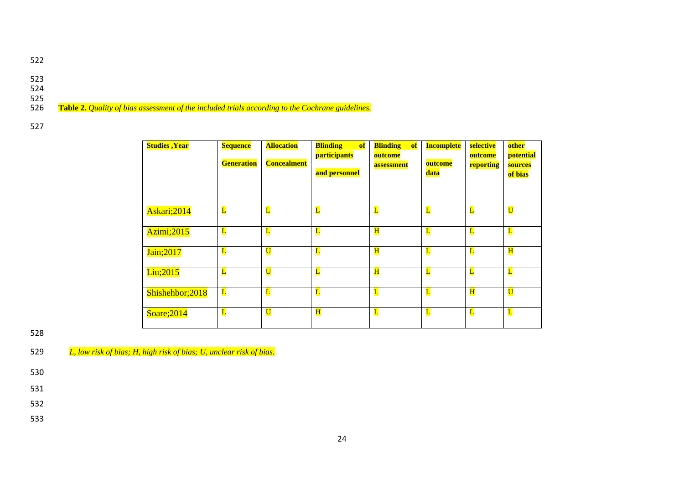- 522
- 
- 523
- 524
- 525

526 **Table 2.** *Quality of bias assessment of the included trials according to the Cochrane guidelines.*

527

| <b>Studies</b> , Year | <b>Sequence</b><br><b>Generation</b> | <b>Allocation</b><br><b>Concealment</b> | <b>Blinding</b><br><b>of</b><br>participants<br>and personnel | <b>Blinding</b><br><b>of</b><br>outcome<br>assessment | <b>Incomplete</b><br>outcome<br>data | selective<br>outcome<br>reporting | other<br>potential<br>sources<br>of bias |
|-----------------------|--------------------------------------|-----------------------------------------|---------------------------------------------------------------|-------------------------------------------------------|--------------------------------------|-----------------------------------|------------------------------------------|
| Askari;2014           | L                                    | $\mathbf{L}$                            | $\overline{\mathbf{L}}$                                       | L                                                     | L                                    | L                                 | $\overline{\mathbf{U}}$                  |
| Azimi;2015            | L                                    | $\mathbf{L}$                            | $\mathbf L$                                                   | $\mathbf{H}$                                          | L                                    | $\mathbf{L}$                      | L                                        |
| Jain; 2017            | $\mathbf{L}$                         | $\overline{\text{U}}$                   | $\mathbf L$                                                   | $\mathbf{H}$                                          | $\mathbf{L}$                         | L                                 | H                                        |
| Liu;2015              | $\mathbf{L}$                         | $\overline{\text{U}}$                   | $\overline{\mathbf{L}}$                                       | $\overline{\mathbf{H}}$                               | $\mathbf{L}$                         | L                                 | $\mathbf{L}$                             |
| Shishehbor; 2018      | L                                    | $\overline{\mathbf{L}}$                 | $\mathbf{L}$                                                  | $\mathbf{L}$                                          | L                                    | $\overline{\mathbf{H}}$           | $\overline{\mathbf{U}}$                  |
| Soare; $2014$         | L                                    | $\overline{\text{U}}$                   | H                                                             | L                                                     | L                                    | L                                 | $\mathbf{L}$                             |

528

529 *L, low risk of bias; H, high risk of bias; U, unclear risk of bias.*

530

531

532